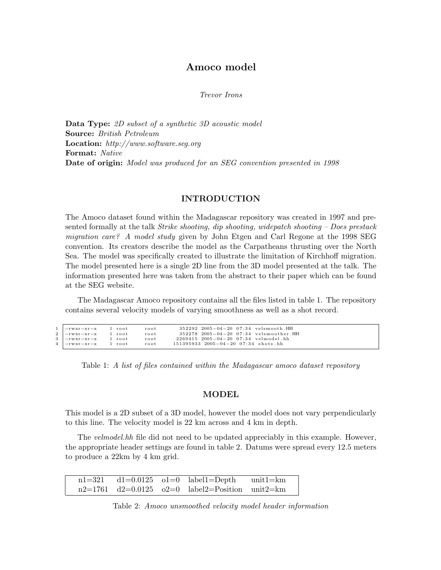# Amoco model

Trevor Irons

Data Type: 2D subset of a synthetic 3D acoustic model Source: British Petroleum Location: http://www.software.seg.org Format: Native Date of origin: Model was produced for an SEG convention presented in 1998

### INTRODUCTION

The Amoco dataset found within the Madagascar repository was created in 1997 and presented formally at the talk *Strike shooting, dip shooting, widepatch shooting – Does prestack* migration care? A model study given by John Etgen and Carl Regone at the 1998 SEG convention. Its creators describe the model as the Carpatheans thrusting over the North Sea. The model was specifically created to illustrate the limitation of Kirchhoff migration. The model presented here is a single 2D line from the 3D model presented at the talk. The information presented here was taken from the abstract to their paper which can be found at the SEG website.

The Madagascar Amoco repository contains all the files listed in table 1. The repository contains several velocity models of varying smoothness as well as a shot record.

| $1$ $-rwxr-xr-x$ $1$ root<br>2  -rwxr-xr-x 1 root | root<br>root | $352292$ $2005-04-20$ 07:34 velsmooth.HH<br>$352278$ 2005-04-20 07:34 velsmoother.HH |  |
|---------------------------------------------------|--------------|--------------------------------------------------------------------------------------|--|
| 3  -rwxr-xr-x 1 root                              | root         | $2269415$ $2005-04-20$ $07:34$ velmodel.hh                                           |  |
| 4   - rwxr-xr-x 1 root                            | root         | $151395933$ $2005-04-20$ $07:34$ shots.hh                                            |  |
|                                                   |              |                                                                                      |  |

Table 1: A list of files contained within the Madagascar amoco dataset repository

#### MODEL

This model is a 2D subset of a 3D model, however the model does not vary perpendicularly to this line. The velocity model is 22 km across and 4 km in depth.

The *velmodel.hh* file did not need to be updated appreciably in this example. However, the appropriate header settings are found in table 2. Datums were spread every 12.5 meters to produce a 22km by 4 km grid.

 $n1=321$  d1=0.0125 o1=0 label1=Depth unit1=km n2=1761 d2=0.0125 o2=0 label2=Position unit2=km

Table 2: Amoco unsmoothed velocity model header information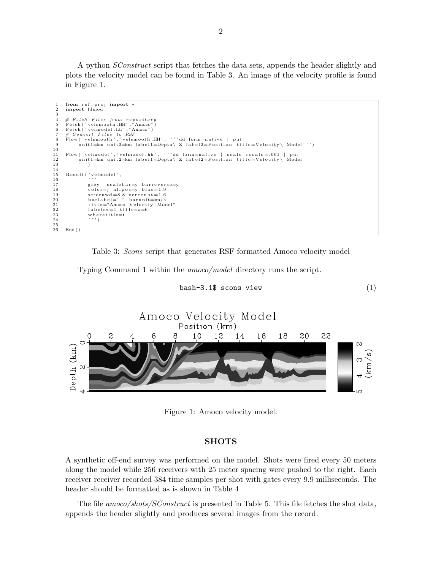A python SConstruct script that fetches the data sets, appends the header slightly and plots the velocity model can be found in Table 3. An image of the velocity profile is found in Figure 1.

```
1 from rsf.proj import *<br>2 import fdmod
 \begin{array}{c} 3 \\ 4 \\ 5 \end{array}4 | # Fetch Files from repository<br>5 | Fetch ("velsmooth .HH" ,"Amoco")<br>6 | Fetch ("velmodel .hh" ,"Amoco")
  7 |# Convert Files to RSF<br>8 | Flow ('velsmooth','velsmooth.HH', '''dd form=native | put<br>9 | unit1=km unit2=km label1=Depth\ Z label2=Position title=Velocity\ Model''')
10
11 Flow ('velmodel','velmodel.hh', '''dd form=native | scale rscale=.001 | put<br>
12 unit1=km unit2=km label1=Depth | Z label2=Position title=Velocity | Mode
                  12 unit 1=km unit 2=km label 1=Depth \ Z label 2=P osition title=Velocity \ Model
13\,\begin{array}{c} 14 \\ 15 \end{array}Result ( ' velmodel ',
\begin{array}{c|c}\n 16 \\
 17\n \end{array} \begin{array}{c} , \, , \, , \, \\
 \text{grey} \end{array}17 grey scalebar=y barreverse=y<br>18 color=j allpos=y bias=1.9
18 color=j allpos=y bias=1.9<br>19 screenwd=8.8 screenht=1.6<br>20 barlabel=""barunit=km/s
21 title="Amoco Velocity Model"<br>22 labelsz=4 titlesz=6
23 where title=t<br>24 ''')
\frac{25}{26}End()
```


Typing Command 1 within the amoco/model directory runs the script.





Figure 1: Amoco velocity model.

## **SHOTS**

A synthetic off-end survey was performed on the model. Shots were fired every 50 meters along the model while 256 receivers with 25 meter spacing were pushed to the right. Each receiver receiver recorded 384 time samples per shot with gates every 9.9 milliseconds. The header should be formatted as is shown in Table 4

The file amoco/shots/SConstruct is presented in Table 5. This file fetches the shot data, appends the header slightly and produces several images from the record.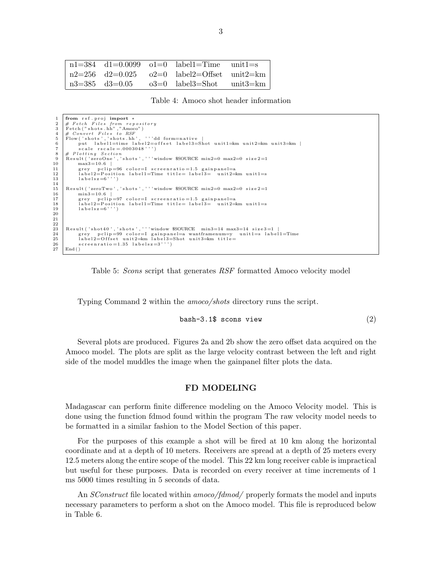|  | $n1 = 384$ d1=0.0099 o1=0 label1=Time unit1=s         |  |
|--|-------------------------------------------------------|--|
|  | $n2=256$ $d2=0.025$ $o2=0$ $label2=Offset$ $unit2=km$ |  |
|  | $n3=385$ $d3=0.05$ $o3=0$ $label3=Short$ $unit3=km$   |  |

Table 4: Amoco shot header information

```
1 \begin{array}{c} 1 \\ 2 \end{array} from rsf.proj import *
  2 | # Fetch Files from repository<br>3 | Fetch ("shots.hh","Amoco")<br>4 | # Convert Files to RSF
 \frac{4}{5} Flow ('shots','shots.hh', ''dd form=native<br>6 put label1=time label2=offset label3=
 6 put label1=time label2=offset label3=Shot unit1=km unit2=km unit3=km |<br>
scale rscale=.0003048''')
 \begin{array}{c|c} 7 \ \hline 8 \ \end{array} \# Plotting Section
 8 \# Plotting Section, 9 \text{Result('zeroOne)}\begin{array}{c|c} 9 & \text{Result} \ ( \text{'zeroOne'}, \text{'shots'}, \text{''} \text{' window } $SOWRCE \text{ min2=0 } max2=0 \text{ size2=1} \\ 10 & \text{max3=10.6} \end{array}\begin{array}{c|c}\n 10 & \text{max3}=10.6 \\
 11 & \text{grey} & \text{pclip}\n \end{array}11 grey pclip=96 color=I screenratio=1.5 gainpanel=a<br>
12 label2=Position label1=Time title= label3= unit2=
12 <br>
\boxed{12} label2=Position label1=Time title= label3= unit2=km unit1=s<br>
labelsz=6''')
               1\,\mathrm{a}\,\mathrm{b}\,\mathrm{e}\,1\,\mathrm{s}\,\mathrm{z}\,{=}\,6'
\frac{14}{15}15 Result ('zeroTwo', 'shots',''' window $SOURCE min2=0 max2=0 size2=1<br>16 min3=10.6 |
\begin{array}{c|c}\n 16 & \text{min3}=10.6 \\
 17 & \text{grey} \\
 \end{array}prey pclip=97 color=I screenratio=1.5 gainpanel=a
18 label2=Position label1=Time title= label3= unit2=km unit1=s<br>19 labelsz=6''')
                l a b e l s z = 6''' ')
20
21
rac{22}{23}23 Result ('shot40','shots','''window $SOURCE min3=14 max3=14 size3=1 |<br>24 Prev polin=99 color=I gainpanel=a wantframenum=v unit1=s label
24 | grey pclip=99 color=I gainpanel=a wantframenum=y unit1=s label1=Time<br>25 | label2=Offset unit2=km label3=Shot unit3=km title=
26 screenratio = 1.35 labels z=3'End()
```


Typing Command 2 within the amoco/shots directory runs the script.

$$
bash - 3.1\
$$
s cons view (2)

Several plots are produced. Figures 2a and 2b show the zero offset data acquired on the Amoco model. The plots are split as the large velocity contrast between the left and right side of the model muddles the image when the gainpanel filter plots the data.

## FD MODELING

Madagascar can perform finite difference modeling on the Amoco Velocity model. This is done using the function fdmod found within the program The raw velocity model needs to be formatted in a similar fashion to the Model Section of this paper.

For the purposes of this example a shot will be fired at 10 km along the horizontal coordinate and at a depth of 10 meters. Receivers are spread at a depth of 25 meters every 12.5 meters along the entire scope of the model. This 22 km long receiver cable is impractical but useful for these purposes. Data is recorded on every receiver at time increments of 1 ms 5000 times resulting in 5 seconds of data.

An *SConstruct* file located within amoco/fdmod/ properly formats the model and inputs necessary parameters to perform a shot on the Amoco model. This file is reproduced below in Table 6.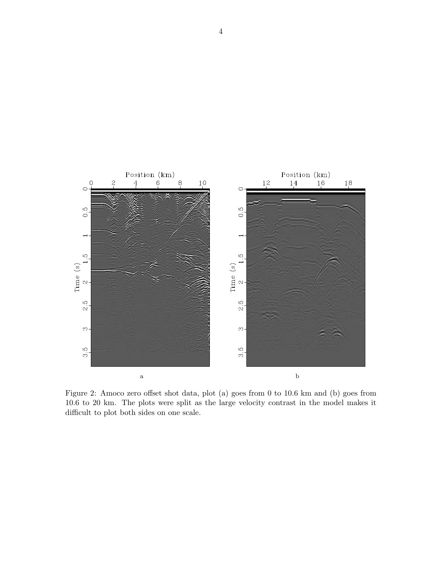

Figure 2: Amoco zero offset shot data, plot (a) goes from 0 to 10.6 km and (b) goes from 10.6 to 20 km. The plots were split as the large velocity contrast in the model makes it difficult to plot both sides on one scale.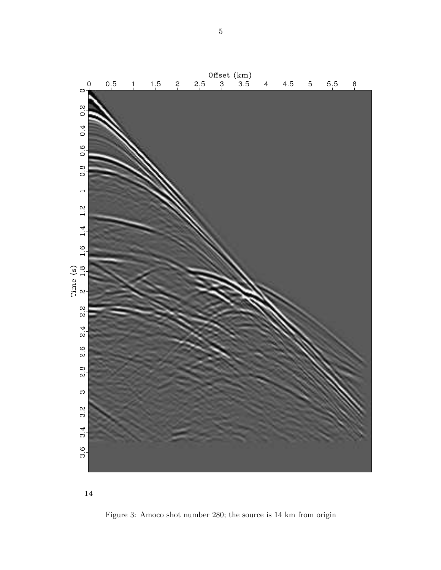

Figure 3: Amoco shot number 280; the source is 14 km from origin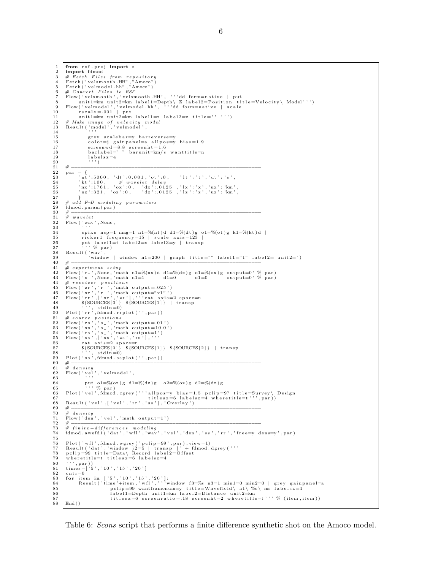```
\frac{1}{2} from rsf. proj import *
          import fdmod
   3 # Fetch Files from repository<br>4 Fetch ("velsmooth.HH","Amoco")<br>5 Fetch ("velmodel.hh","Amoco")<br>6 # Convert Files to RSF<br>7 Flow ('velsmooth','velsmooth.HH', '''dd form=native | put
 8 unit1=km unit2=km label1=Depth\ Z label2=Position title=Velocity\ Model''')<br>9 Flow('velmodel',','velmodel.hh', '''dd form=native | scale<br>10 rscale=.001 | put
11 | unit 1= km unit 2= km label 1 = z label 2 = x title = '' ''')
 \begin{array}{ll} 12 \ 13 \ 13 \ 14 \ 15 \end{array} \begin{array}{ll} \text{\#} \textit{Make image of velocity model} \\ \text{Result('model', 'velmodel', 'redmodel', 'redmodel', 'redmodel', 'redmodel')}, \end{array}15 grey scalebar=y barreverse=y<br>16 color=j gainpanel=a allpos=y
 16 color=j gainpanel=a allpos=y bias=1.9<br>17 screenwd=8.8 screenht=1.6<br>18 barlabel=""barunit=km/s wanttitle=n
 19 \begin{array}{ccc} 19 & 1a \text{ b} \text{ e} \text{1} \text{ s} \text{ z} = 4 \\ 20 & , 1 \end{array}\begin{array}{ll} 21 & \# & \ \text{par} = \{ & \ \text{par} = \{ & \ \text{r}_1, \text{r}_2, \text{r}_3, \text{r}_4, \text{r}_5, \text{r}_6, \text{r}_7, \text{r}_8, \text{r}_9, \text{r}_9, \text{r}_1, \text{r}_1, \text{r}_2, \text{r}_1, \text{r}_2, \text{r}_4, \text{r}_5, \text{r}_6, \text{r}_7, \text{r}_8, \text{r}_9, \text{r}_9, \text{r}_1, \text{r}_1, \text{r}_2, \text{r}_3, \text{\begin{array}{c|c}\n\textbf{28} & # \textbf{ add } F-D \textbf{ modeling parameters} \\
\textbf{29} & \textbf{fdmod.param(par)}\n\end{array}29 fdmod . param ( par )
 30 # −−−−−−−−−−−−−−−−−−−−−−−−−−−−−−−−−−−−−−−−−−−−−−−−−−−−−−−−−−−−
\begin{array}{c} 31 \\ 32 \end{array} # wavelet
          Flow ( 'wav ' , None ,
3334 spike nsp=1 mag=1 n1=%(nt)d d1=%(dt)g o1=%(ot)g k1=%(kt)d | ricker1 frequency=15 | scale axis=123 |
 35 r i c k e r 1 f r e q u e n c y =15 | s c a l e a x i s =123 |
36 put l a b e l 1=t l a b e l 2=x l a b e l 3=y | t r a n s p
37 ' ' ' % par )
 38 R e s u l t ( ' wav ' ,
39 ' window | window n1=200 | graph t i t l e ="" l a b e l 1="t " l a b e l 2= u n i t 2= ' )
40 # −−−−−−−−−−−−−−−−−−−−−−−−−−−−−−−−−−−−−−−−−−−−−−−−−−−−−−−−−−−−
41 # experiment setup<br>42 Flow('r', None 'ma
 42 | Flow('r_',None,'math n1=%(nx)d d1=%(dx)g o1=%(ox)g output=0' % par)<br>43 | Flow('s_',None,'math n1=1 d1=0 o1=0 output=0' % par)
 \begin{tabular}{l|c|c|c} 44 & $\# \,\, \textit{receiver \,\, position.s} \\ \hline $F\, \textit{Flow('zr', 'r_-', 'math output="25')}$ \\ 46 & \textit{Flow('zr', 'r_-', 'math output="27'')'} \\ 47 & \textit{Flow('rr', ['xr', 'zr'], ' '`cat axis=2 space=1} \\ 48 & $\textit{S}\{\textit{SOURCES}[0] \}\ \textit{S}\{\textit{SOURCES}[1] \}\ \text{transp} \\ 49 & $\textit{Plot('rr', f4mod.rplot('', 'par))}$ \\ \end{tabular}51 # source positions<br>
Flow ('zs','s_','math output=.01')<br>
53 Flow ('xs','s_','math output=10.0')<br>
54 Flow ('rs','s_','math output=1')<br>
55 Flow ('ss',['xs','zs','rs'], ''<br>
57 S{SOURCES[0] } ${SOURCES[1] } ${SOURCES[2]} | 
 58 ' '', stdin=0)<br>59 Plot('ss',fdmod.ssplot('',par))60 # −−−−−−−−−−−−−−−−−−−−−−−−−−−−−−−−−−−−−−−−−−−−−−−−−−−−−−−−−−−−
61 \mu density
 62 \begin{array}{l} \text{Flow}(\text{'vel'},\text{'velmodel'},\ 63 \end{array}64 put 01=\frac{1}{2}(oz)g \frac{d1=\frac{1}{2}(dz)g}{2} \frac{0.2}{(oz)g} \frac{d2=\frac{1}{2}(dz)g}{2}65 | Not('vel',fdmod.cgrey('''allpos=y bias=1.5 pclip=97 title=Survey\ Design<br>66 | Not('vel',fdmod.cgrey('''allpos=y bias=1.5 pclip=97 title=Survey\ Design<br>67 | titlesz=6 labelsz=4 wheretitle=t''',par))
68 R e s u l t ( ' v e l ' , [ ' v e l ' , ' r r ' , ' s s ' ] , ' Ov er lay ' )
 69 # −−−−−−−−−−−−−−−−−−−−−−−−−−−−−−−−−−−−−−−−−−−−−−−−−−−−−−−−−−−−
\begin{array}{c|c}\n70 & \# & density \\
71 & \text{Flow}(\text{ 'den})\n\end{array}71 Flow ( ' den ' , ' v e l ' , 'math output=1 ' )
 72 # −−−−−−−−−−−−−−−−−−−−−−−−−−−−−−−−−−−−−−−−−−−−−−−−−−−−−−−−−−−−
73 # f i n i t e −d i f f e r e n c e s m o d e l i n g
74 fdmod . awe fd1 ( ' dat ' , ' w f l ' , ' wav ' , ' v e l ' , ' den ' , ' s s ' , ' r r ' , ' f r e e=y d ens=y ' , par )
75
 76 | Plot('wfl',fdmod.wgrey('pclip=99',par),view=1)<br>77 | Result('dat','window j2=5 | transp |' + fdmod.dgrey('''<br>78 | pclip=99 title=Data\ Record label2=Offset
79 where titles the relation of (80)<br>(80), (9, 9), (9, 1)80 \vert ''', par ))<br>81 times=['5', '10', '15', '20']
\begin{array}{c|c}\n 82 & \text{cntr}=0 \\
 83 & \text{for ite}\n \end{array}83 | for item in ['5','10','15','20']:<br>84 | Result('time'+item,'wfl','''window f3=%s n3=1 min1=0 min2=0 | grey gainpanel=a<br>85 | Polip=99 wantframenum=y title=Wavefield\at\%s\ms labelsz=4
 86 l a b e l 1=Depth u n i t 1=km l a b e l 2=D i s t a n c e u n i t 2=km
87 t i t l e s z =6 s c r e e n r a t i o =.18 s c r e e n h t=2 w h e r e t i t l e=t ' ' ' % ( item , it em ) )
88 End ( )
```
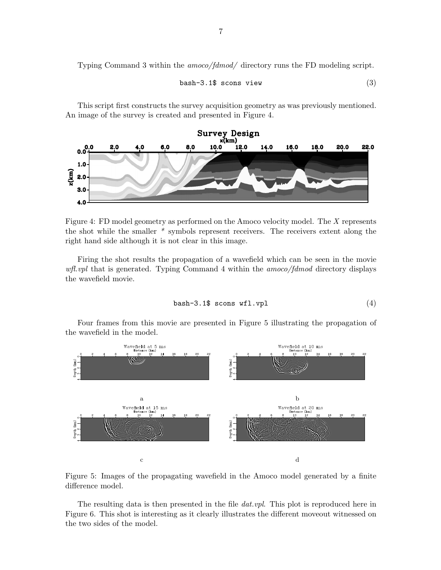Typing Command 3 within the amoco/fdmod/ directory runs the FD modeling script.

$$
bash - 3.1\
$$
s cons view (3)

This script first constructs the survey acquisition geometry as was previously mentioned. An image of the survey is created and presented in Figure 4.



Figure 4: FD model geometry as performed on the Amoco velocity model. The X represents the shot while the smaller \* symbols represent receivers. The receivers extent along the right hand side although it is not clear in this image.

Firing the shot results the propagation of a wavefield which can be seen in the movie  $w\llap{/}l$  that is generated. Typing Command 4 within the amoco/fdmod directory displays the wavefield movie.

$$
\mathtt{bash}\text{-}3.1\text{\$~scons~wf1.vp1} \tag{4}
$$

Four frames from this movie are presented in Figure 5 illustrating the propagation of the wavefield in the model.



Figure 5: Images of the propagating wavefield in the Amoco model generated by a finite difference model.

The resulting data is then presented in the file *dat.vpl*. This plot is reproduced here in Figure 6. This shot is interesting as it clearly illustrates the different moveout witnessed on the two sides of the model.